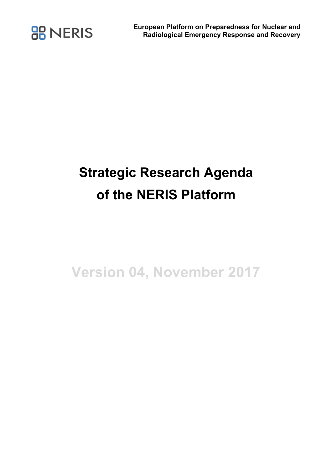

## **Strategic Research Agenda of the NERIS Platform**

**Version 04, November 2017**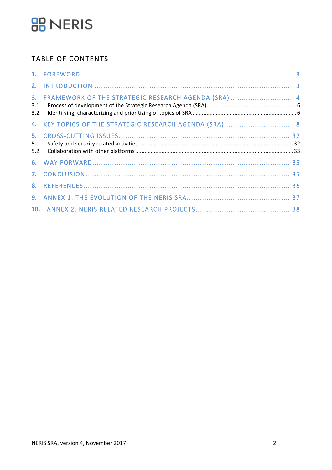## **BB** NERIS

### **TABLE OF CONTENTS**

| 3.<br>3.1.<br>3.2. | FRAMEWORK OF THE STRATEGIC RESEARCH AGENDA (SRA)  4    |  |
|--------------------|--------------------------------------------------------|--|
|                    | 4. KEY TOPICS OF THE STRATEGIC RESEARCH AGENDA (SRA) 8 |  |
| 5.<br>5.1.         |                                                        |  |
| 5.2.               |                                                        |  |
|                    |                                                        |  |
|                    |                                                        |  |
|                    |                                                        |  |
|                    |                                                        |  |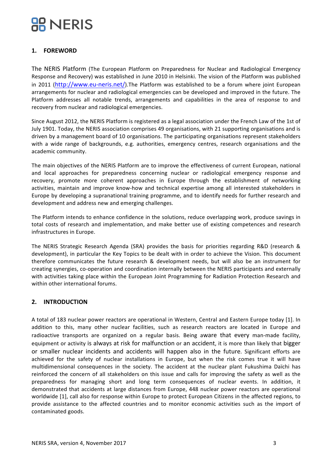### **1. FOREWORD**

The NERIS Platform (The European Platform on Preparedness for Nuclear and Radiological Emergency Response and Recovery) was established in June 2010 in Helsinki. The vision of the Platform was published in 2011 (http://www.eu-neris.net/).The Platform was established to be a forum where joint European arrangements for nuclear and radiological emergencies can be developed and improved in the future. The Platform addresses all notable trends, arrangements and capabilities in the area of response to and recovery from nuclear and radiological emergencies.

Since August 2012, the NERIS Platform is registered as a legal association under the French Law of the 1st of July 1901. Today, the NERIS association comprises 49 organisations, with 21 supporting organisations and is driven by a management board of 10 organisations. The participating organisations represent stakeholders with a wide range of backgrounds, e.g. authorities, emergency centres, research organisations and the academic community.

The main objectives of the NERIS Platform are to improve the effectiveness of current European, national and local approaches for preparedness concerning nuclear or radiological emergency response and recovery, promote more coherent approaches in Europe through the establishment of networking activities, maintain and improve know-how and technical expertise among all interested stakeholders in Europe by developing a supranational training programme, and to identify needs for further research and development and address new and emerging challenges.

The Platform intends to enhance confidence in the solutions, reduce overlapping work, produce savings in total costs of research and implementation, and make better use of existing competences and research infrastructures in Europe.

The NERIS Strategic Research Agenda (SRA) provides the basis for priorities regarding R&D (research & development), in particular the Key Topics to be dealt with in order to achieve the Vision. This document therefore communicates the future research & development needs, but will also be an instrument for creating synergies, co-operation and coordination internally between the NERIS participants and externally with activities taking place within the European Joint Programming for Radiation Protection Research and within other international forums.

### **2. INTRODUCTION**

A total of 183 nuclear power reactors are operational in Western, Central and Eastern Europe today [1]. In addition to this, many other nuclear facilities, such as research reactors are located in Europe and radioactive transports are organized on a regular basis. Being aware that every man-made facility, equipment or activity is always at risk for malfunction or an accident, it is more than likely that bigger or smaller nuclear incidents and accidents will happen also in the future. Significant efforts are achieved for the safety of nuclear installations in Europe, but when the risk comes true it will have multidimensional consequences in the society. The accident at the nuclear plant Fukushima Daïchi has reinforced the concern of all stakeholders on this issue and calls for improving the safety as well as the preparedness for managing short and long term consequences of nuclear events. In addition, it demonstrated that accidents at large distances from Europe, 448 nuclear power reactors are operational worldwide [1], call also for response within Europe to protect European Citizens in the affected regions, to provide assistance to the affected countries and to monitor economic activities such as the import of contaminated goods.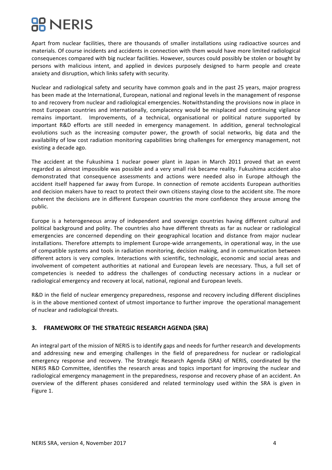## **BE NERIS**

Apart from nuclear facilities, there are thousands of smaller installations using radioactive sources and materials. Of course incidents and accidents in connection with them would have more limited radiological consequences compared with big nuclear facilities. However, sources could possibly be stolen or bought by persons with malicious intent, and applied in devices purposely designed to harm people and create anxiety and disruption, which links safety with security.

Nuclear and radiological safety and security have common goals and in the past 25 years, major progress has been made at the International, European, national and regional levels in the management of response to and recovery from nuclear and radiological emergencies. Notwithstanding the provisions now in place in most European countries and internationally, complacency would be misplaced and continuing vigilance remains important. Improvements, of a technical, organisational or political nature supported by important R&D efforts are still needed in emergency management. In addition, general technological evolutions such as the increasing computer power, the growth of social networks, big data and the availability of low cost radiation monitoring capabilities bring challenges for emergency management, not existing a decade ago.

The accident at the Fukushima 1 nuclear power plant in Japan in March 2011 proved that an event regarded as almost impossible was possible and a very small risk became reality. Fukushima accident also demonstrated that consequence assessments and actions were needed also in Europe although the accident itself happened far away from Europe. In connection of remote accidents European authorities and decision makers have to react to protect their own citizens staying close to the accident site. The more coherent the decisions are in different European countries the more confidence they arouse among the public. 

Europe is a heterogeneous array of independent and sovereign countries having different cultural and political background and polity. The countries also have different threats as far as nuclear or radiological emergencies are concerned depending on their geographical location and distance from major nuclear installations. Therefore attempts to implement Europe-wide arrangements, in operational way, in the use of compatible systems and tools in radiation monitoring, decision making, and in communication between different actors is very complex. Interactions with scientific, technologic, economic and social areas and involvement of competent authorities at national and European levels are necessary. Thus, a full set of competencies is needed to address the challenges of conducting necessary actions in a nuclear or radiological emergency and recovery at local, national, regional and European levels.

R&D in the field of nuclear emergency preparedness, response and recovery including different disciplines is in the above mentioned context of utmost importance to further improve the operational management of nuclear and radiological threats.

### **3. FRAMEWORK OF THE STRATEGIC RESEARCH AGENDA (SRA)**

An integral part of the mission of NERIS is to identify gaps and needs for further research and developments and addressing new and emerging challenges in the field of preparedness for nuclear or radiological emergency response and recovery. The Strategic Research Agenda (SRA) of NERIS, coordinated by the NERIS R&D Committee, identifies the research areas and topics important for improving the nuclear and radiological emergency management in the preparedness, response and recovery phase of an accident. An overview of the different phases considered and related terminology used within the SRA is given in Figure 1.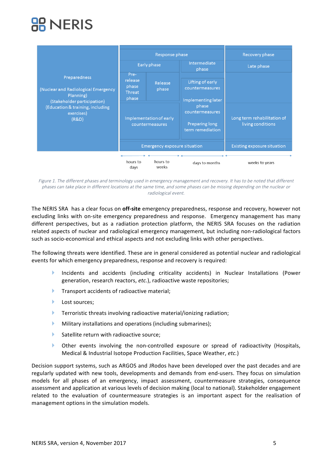## **RR NERIS**

|                                                                                                 |                                                    | Response phase                             |                                                                | Recovery phase                                   |
|-------------------------------------------------------------------------------------------------|----------------------------------------------------|--------------------------------------------|----------------------------------------------------------------|--------------------------------------------------|
|                                                                                                 |                                                    | Early phase                                | Intermediate<br>phase                                          | Late phase                                       |
| Preparedness<br>(Nuclear and Radiological Emergency<br>Planning)<br>(Stakeholder participation) | Pre-<br>release<br>phase<br><b>Threat</b><br>phase | Release<br>phase                           | Lifting of early<br>countermeasures<br>Implementing later      |                                                  |
| (Education & training, including<br>exercises)<br>(R&D)                                         |                                                    | Implementation of early<br>countermeasures | phase<br>countermeasures<br>Preparing long<br>term remediation | Long term rehabilitation of<br>living conditions |
|                                                                                                 |                                                    | <b>Emergency exposure situation</b>        |                                                                | <b>Existing exposure situation</b>               |
|                                                                                                 | hours to<br>days                                   | hours to<br>weeks                          | days to months                                                 | weeks to years                                   |

Figure 1. The different phases and terminology used in emergency management and recovery. It has to be noted that different phases can take place in different locations at the same time, and some phases can be missing depending on the nuclear or radiological event.

The NERIS SRA has a clear focus on **off-site** emergency preparedness, response and recovery, however not excluding links with on-site emergency preparedness and response. Emergency management has many different perspectives, but as a radiation protection platform, the NERIS SRA focuses on the radiation related aspects of nuclear and radiological emergency management, but including non-radiological factors such as socio-economical and ethical aspects and not excluding links with other perspectives.

The following threats were identified. These are in general considered as potential nuclear and radiological events for which emergency preparedness, response and recovery is required:

- Incidents and accidents (including criticality accidents) in Nuclear Installations (Power generation, research reactors, etc.), radioactive waste repositories;
- $\blacktriangleright$  Transport accidents of radioactive material;
- **Lost sources;**
- $\blacktriangleright$  Terroristic threats involving radioactive material/ionizing radiation;
- $\blacktriangleright$  Military installations and operations (including submarines);
- $\blacktriangleright$  Satellite return with radioactive source;
- $\blacktriangleright$  Other events involving the non-controlled exposure or spread of radioactivity (Hospitals, Medical & Industrial Isotope Production Facilities, Space Weather, etc.)

Decision support systems, such as ARGOS and JRodos have been developed over the past decades and are regularly updated with new tools, developments and demands from end-users. They focus on simulation models for all phases of an emergency, impact assessment, countermeasure strategies, consequence assessment and application at various levels of decision making (local to national). Stakeholder engagement related to the evaluation of countermeasure strategies is an important aspect for the realisation of management options in the simulation models.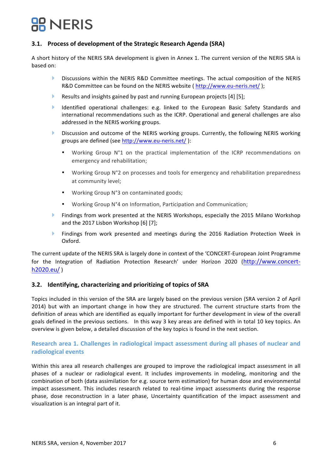### **3.1.** Process of development of the Strategic Research Agenda (SRA)

A short history of the NERIS SRA development is given in Annex 1. The current version of the NERIS SRA is based on:

- **Discussions within the NERIS R&D Committee meetings. The actual composition of the NERIS** R&D Committee can be found on the NERIS website ( http://www.eu-neris.net/ );
- Results and insights gained by past and running European projects  $[4]$  [5];
- Identified operational challenges: e.g. linked to the European Basic Safety Standards and international recommendations such as the ICRP. Operational and general challenges are also addressed in the NERIS working groups.
- $\blacktriangleright$  Discussion and outcome of the NERIS working groups. Currently, the following NERIS working groups are defined (see http://www.eu-neris.net/):
	- Working Group N°1 on the practical implementation of the ICRP recommendations on emergency and rehabilitation;
	- Working Group N°2 on processes and tools for emergency and rehabilitation preparedness at community level;
	- Working Group N°3 on contaminated goods;
	- Working Group N°4 on Information, Participation and Communication;
- $\blacktriangleright$  Findings from work presented at the NERIS Workshops, especially the 2015 Milano Workshop and the 2017 Lisbon Workshop [6] [7];
- **If The Findings from work presented and meetings during the 2016 Radiation Protection Week in** Oxford.

The current update of the NERIS SRA is largely done in context of the 'CONCERT-European Joint Programme for the Integration of Radiation Protection Research' under Horizon 2020 (http://www.concerth2020.eu/ )

### **3.2.** Identifying, characterizing and prioritizing of topics of SRA

Topics included in this version of the SRA are largely based on the previous version (SRA version 2 of April 2014) but with an important change in how they are structured. The current structure starts from the definition of areas which are identified as equally important for further development in view of the overall goals defined in the previous sections. In this way 3 key areas are defined with in total 10 key topics. An overview is given below, a detailed discussion of the key topics is found in the next section.

### **Research area 1. Challenges in radiological impact assessment during all phases of nuclear and radiological events**

Within this area all research challenges are grouped to improve the radiological impact assessment in all phases of a nuclear or radiological event. It includes improvements in modeling, monitoring and the combination of both (data assimilation for e.g. source term estimation) for human dose and environmental impact assessment. This includes research related to real-time impact assessments during the response phase, dose reconstruction in a later phase, Uncertainty quantification of the impact assessment and visualization is an integral part of it.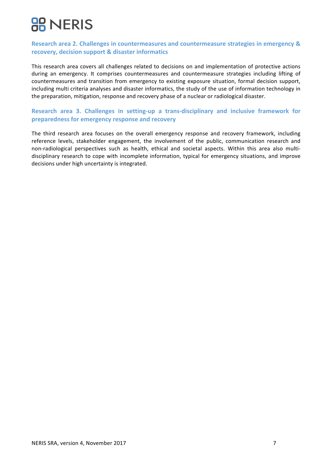### **Research area 2. Challenges in countermeasures and countermeasure strategies in emergency & recovery, decision support & disaster informatics**

This research area covers all challenges related to decisions on and implementation of protective actions during an emergency. It comprises countermeasures and countermeasure strategies including lifting of countermeasures and transition from emergency to existing exposure situation, formal decision support, including multi criteria analyses and disaster informatics, the study of the use of information technology in the preparation, mitigation, response and recovery phase of a nuclear or radiological disaster.

### **Research area 3. Challenges in setting-up a trans-disciplinary and inclusive framework for** preparedness for emergency response and recovery

The third research area focuses on the overall emergency response and recovery framework, including reference levels, stakeholder engagement, the involvement of the public, communication research and non-radiological perspectives such as health, ethical and societal aspects. Within this area also multidisciplinary research to cope with incomplete information, typical for emergency situations, and improve decisions under high uncertainty is integrated.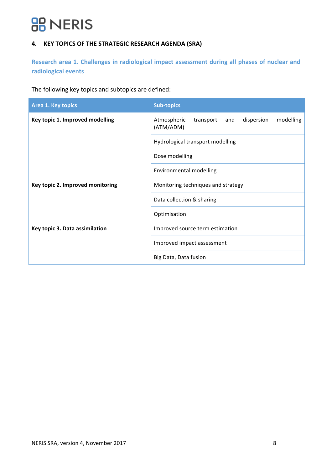## **BB** NERIS

### **4. KEY TOPICS OF THE STRATEGIC RESEARCH AGENDA (SRA)**

Research area 1. Challenges in radiological impact assessment during all phases of nuclear and **radiological events** 

The following key topics and subtopics are defined:

| <b>Area 1. Key topics</b>        | <b>Sub-topics</b>                                                       |
|----------------------------------|-------------------------------------------------------------------------|
| Key topic 1. Improved modelling  | dispersion<br>modelling<br>Atmospheric<br>transport<br>and<br>(ATM/ADM) |
|                                  | Hydrological transport modelling                                        |
|                                  | Dose modelling                                                          |
|                                  | Environmental modelling                                                 |
| Key topic 2. Improved monitoring | Monitoring techniques and strategy                                      |
|                                  | Data collection & sharing                                               |
|                                  | Optimisation                                                            |
| Key topic 3. Data assimilation   | Improved source term estimation                                         |
|                                  | Improved impact assessment                                              |
|                                  | Big Data, Data fusion                                                   |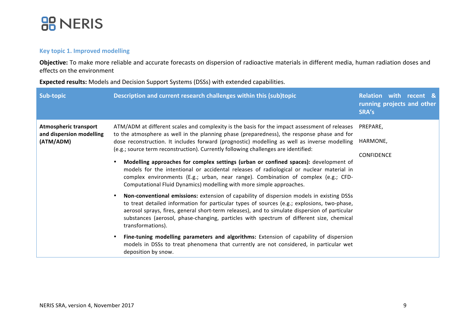

### **Key topic 1. Improved modelling**

Objective: To make more reliable and accurate forecasts on dispersion of radioactive materials in different media, human radiation doses and effects on the environment

**Expected results:** Models and Decision Support Systems (DSSs) with extended capabilities.

| Sub-topic                                                             | Description and current research challenges within this (sub)topic                                                                                                                                                                                                                                                                                                                                                                                                                                                                                                                                                                                                                                                                                                                                                                                                                                                                                                                                                                                                                                                                                                                                                                                                                                                                                                                                  | <b>Relation with recent &amp;</b><br>running projects and other<br>SRA's |
|-----------------------------------------------------------------------|-----------------------------------------------------------------------------------------------------------------------------------------------------------------------------------------------------------------------------------------------------------------------------------------------------------------------------------------------------------------------------------------------------------------------------------------------------------------------------------------------------------------------------------------------------------------------------------------------------------------------------------------------------------------------------------------------------------------------------------------------------------------------------------------------------------------------------------------------------------------------------------------------------------------------------------------------------------------------------------------------------------------------------------------------------------------------------------------------------------------------------------------------------------------------------------------------------------------------------------------------------------------------------------------------------------------------------------------------------------------------------------------------------|--------------------------------------------------------------------------|
| <b>Atmospheric transport</b><br>and dispersion modelling<br>(ATM/ADM) | ATM/ADM at different scales and complexity is the basis for the impact assessment of releases<br>to the atmosphere as well in the planning phase (preparedness), the response phase and for<br>dose reconstruction. It includes forward (prognostic) modelling as well as inverse modelling<br>(e.g.; source term reconstruction). Currently following challenges are identified:<br>Modelling approaches for complex settings (urban or confined spaces): development of<br>$\bullet$<br>models for the intentional or accidental releases of radiological or nuclear material in<br>complex environments (E.g.; urban, near range). Combination of complex (e.g.; CFD-<br>Computational Fluid Dynamics) modelling with more simple approaches.<br>Non-conventional emissions: extension of capability of dispersion models in existing DSSs<br>$\bullet$<br>to treat detailed information for particular types of sources (e.g.; explosions, two-phase,<br>aerosol sprays, fires, general short-term releases), and to simulate dispersion of particular<br>substances (aerosol, phase-changing, particles with spectrum of different size, chemical<br>transformations).<br>Fine-tuning modelling parameters and algorithms: Extension of capability of dispersion<br>$\bullet$<br>models in DSSs to treat phenomena that currently are not considered, in particular wet<br>deposition by snow. | PREPARE,<br>HARMONE,<br><b>CONFIDENCE</b>                                |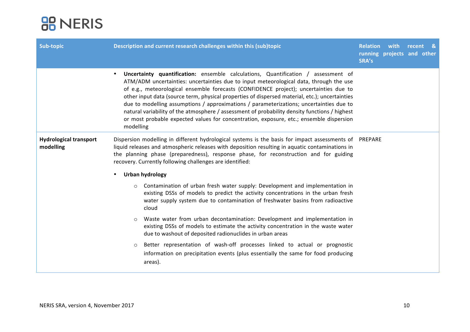| Sub-topic                                  | Description and current research challenges within this (sub)topic<br>SRA's                                                                                                                                                                                                                                                                                                                                                                                                                                                                                                                                                                                                             |  | <b>Relation</b> with<br>running projects and other | recent | - & |
|--------------------------------------------|-----------------------------------------------------------------------------------------------------------------------------------------------------------------------------------------------------------------------------------------------------------------------------------------------------------------------------------------------------------------------------------------------------------------------------------------------------------------------------------------------------------------------------------------------------------------------------------------------------------------------------------------------------------------------------------------|--|----------------------------------------------------|--------|-----|
|                                            | Uncertainty quantification: ensemble calculations, Quantification / assessment of<br>$\bullet$<br>ATM/ADM uncertainties: uncertainties due to input meteorological data, through the use<br>of e.g., meteorological ensemble forecasts (CONFIDENCE project); uncertainties due to<br>other input data (source term, physical properties of dispersed material, etc.); uncertainties<br>due to modelling assumptions / approximations / parameterizations; uncertainties due to<br>natural variability of the atmosphere / assessment of probability density functions / highest<br>or most probable expected values for concentration, exposure, etc.; ensemble dispersion<br>modelling |  |                                                    |        |     |
| <b>Hydrological transport</b><br>modelling | Dispersion modelling in different hydrological systems is the basis for impact assessments of PREPARE<br>liquid releases and atmospheric releases with deposition resulting in aquatic contaminations in<br>the planning phase (preparedness), response phase, for reconstruction and for guiding<br>recovery. Currently following challenges are identified:                                                                                                                                                                                                                                                                                                                           |  |                                                    |        |     |
|                                            | <b>Urban hydrology</b><br>$\bullet$                                                                                                                                                                                                                                                                                                                                                                                                                                                                                                                                                                                                                                                     |  |                                                    |        |     |
|                                            | Contamination of urban fresh water supply: Development and implementation in<br>$\circ$<br>existing DSSs of models to predict the activity concentrations in the urban fresh<br>water supply system due to contamination of freshwater basins from radioactive<br>cloud                                                                                                                                                                                                                                                                                                                                                                                                                 |  |                                                    |        |     |
|                                            | Waste water from urban decontamination: Development and implementation in<br>$\circ$<br>existing DSSs of models to estimate the activity concentration in the waste water<br>due to washout of deposited radionuclides in urban areas                                                                                                                                                                                                                                                                                                                                                                                                                                                   |  |                                                    |        |     |
|                                            | Better representation of wash-off processes linked to actual or prognostic<br>$\circ$<br>information on precipitation events (plus essentially the same for food producing<br>areas).                                                                                                                                                                                                                                                                                                                                                                                                                                                                                                   |  |                                                    |        |     |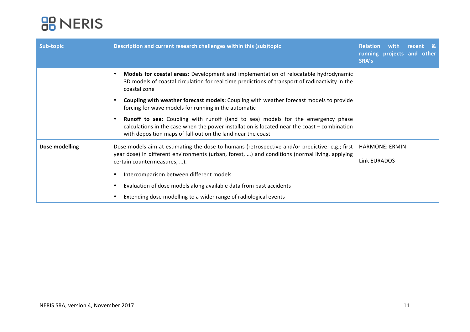| Sub-topic                   | Description and current research challenges within this (sub)topic<br><b>Relation</b><br>SRA's                                                                                                                                                              |                       | recent<br>-84<br>running projects and other |
|-----------------------------|-------------------------------------------------------------------------------------------------------------------------------------------------------------------------------------------------------------------------------------------------------------|-----------------------|---------------------------------------------|
|                             | Models for coastal areas: Development and implementation of relocatable hydrodynamic<br>$\bullet$<br>3D models of coastal circulation for real time predictions of transport of radioactivity in the<br>coastal zone                                        |                       |                                             |
|                             | Coupling with weather forecast models: Coupling with weather forecast models to provide<br>٠<br>forcing for wave models for running in the automatic                                                                                                        |                       |                                             |
|                             | <b>Runoff to sea:</b> Coupling with runoff (land to sea) models for the emergency phase<br>٠<br>calculations in the case when the power installation is located near the coast - combination<br>with deposition maps of fall-out on the land near the coast |                       |                                             |
| Dose modelling              | Dose models aim at estimating the dose to humans (retrospective and/or predictive: e.g.; first<br>year dose) in different environments (urban, forest, ) and conditions (normal living, applying                                                            | <b>HARMONE: ERMIN</b> |                                             |
| certain countermeasures, ). |                                                                                                                                                                                                                                                             | Link EURADOS          |                                             |
|                             | Intercomparison between different models                                                                                                                                                                                                                    |                       |                                             |
|                             | Evaluation of dose models along available data from past accidents                                                                                                                                                                                          |                       |                                             |
|                             | Extending dose modelling to a wider range of radiological events                                                                                                                                                                                            |                       |                                             |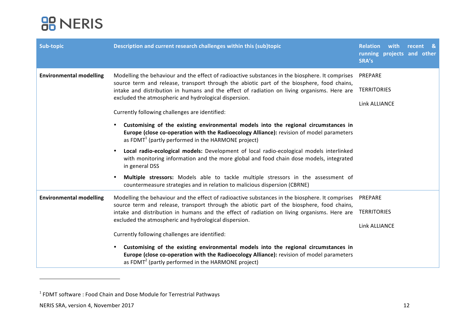| Sub-topic                      | Description and current research challenges within this (sub)topic                                                                                                                                                                                                                           | Relation with recent &<br>running projects and other<br>SRA's |
|--------------------------------|----------------------------------------------------------------------------------------------------------------------------------------------------------------------------------------------------------------------------------------------------------------------------------------------|---------------------------------------------------------------|
| <b>Environmental modelling</b> | Modelling the behaviour and the effect of radioactive substances in the biosphere. It comprises<br>source term and release, transport through the abiotic part of the biosphere, food chains,<br>intake and distribution in humans and the effect of radiation on living organisms. Here are | PREPARE<br><b>TERRITORIES</b>                                 |
|                                | excluded the atmospheric and hydrological dispersion.<br>Currently following challenges are identified:                                                                                                                                                                                      | Link ALLIANCE                                                 |
|                                | Customising of the existing environmental models into the regional circumstances in<br>$\bullet$<br>Europe (close co-operation with the Radioecology Alliance): revision of model parameters<br>as FDMT <sup>1</sup> (partly performed in the HARMONE project)                               |                                                               |
|                                | Local radio-ecological models: Development of local radio-ecological models interlinked<br>$\bullet$<br>with monitoring information and the more global and food chain dose models, integrated<br>in general DSS                                                                             |                                                               |
|                                | Multiple stressors: Models able to tackle multiple stressors in the assessment of<br>$\bullet$<br>countermeasure strategies and in relation to malicious dispersion (CBRNE)                                                                                                                  |                                                               |
| <b>Environmental modelling</b> | Modelling the behaviour and the effect of radioactive substances in the biosphere. It comprises<br>source term and release, transport through the abiotic part of the biosphere, food chains,                                                                                                | PREPARE                                                       |
|                                | intake and distribution in humans and the effect of radiation on living organisms. Here are<br>excluded the atmospheric and hydrological dispersion.                                                                                                                                         | <b>TERRITORIES</b>                                            |
|                                |                                                                                                                                                                                                                                                                                              | Link ALLIANCE                                                 |
|                                | Currently following challenges are identified:                                                                                                                                                                                                                                               |                                                               |
|                                | Customising of the existing environmental models into the regional circumstances in<br>$\bullet$<br>Europe (close co-operation with the Radioecology Alliance): revision of model parameters<br>as FDMT <sup>2</sup> (partly performed in the HARMONE project)                               |                                                               |

<u> 1989 - Johann Stein, fransk politik (d. 1989)</u>

 $1$  FDMT software : Food Chain and Dose Module for Terrestrial Pathways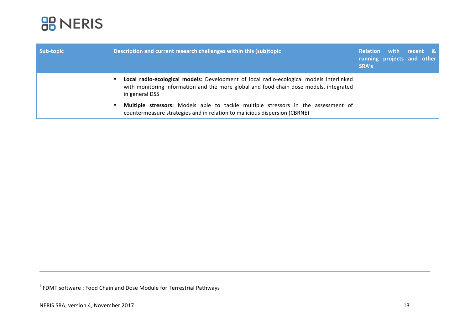

| Sub-topic | Description and current research challenges within this (sub)topic                                                                                                                                               | <b>Relation</b><br>SRA's | with<br>running projects and other | recent & |  |
|-----------|------------------------------------------------------------------------------------------------------------------------------------------------------------------------------------------------------------------|--------------------------|------------------------------------|----------|--|
|           | Local radio-ecological models: Development of local radio-ecological models interlinked<br>$\bullet$<br>with monitoring information and the more global and food chain dose models, integrated<br>in general DSS |                          |                                    |          |  |
|           | Multiple stressors: Models able to tackle multiple stressors in the assessment of<br>$\bullet$<br>countermeasure strategies and in relation to malicious dispersion (CBRNE)                                      |                          |                                    |          |  |

<u> Andreas Andreas Andreas Andreas Andreas Andreas Andreas Andreas Andreas Andreas Andreas Andreas Andreas Andr</u>

 $2$  FDMT software : Food Chain and Dose Module for Terrestrial Pathways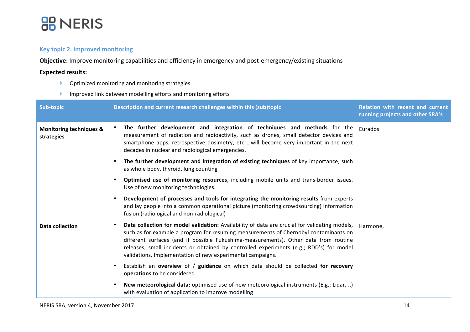

### **Key topic 2. Improved monitoring**

**Objective:** Improve monitoring capabilities and efficiency in emergency and post-emergency/existing situations

### **Expected results:**

- $\blacktriangleright$  Optimized monitoring and monitoring strategies
- $\blacktriangleright$  Improved link between modelling efforts and monitoring efforts

| Sub-topic                                        | Description and current research challenges within this (sub)topic                                                                                                                                                                                                                                                                                                                                                                     | <b>Relation with recent and current</b><br>running projects and other SRA's |
|--------------------------------------------------|----------------------------------------------------------------------------------------------------------------------------------------------------------------------------------------------------------------------------------------------------------------------------------------------------------------------------------------------------------------------------------------------------------------------------------------|-----------------------------------------------------------------------------|
| <b>Monitoring techniques &amp;</b><br>strategies | The further development and integration of techniques and methods for the<br>measurement of radiation and radioactivity, such as drones, small detector devices and<br>smartphone apps, retrospective dosimetry, etc will become very important in the next<br>decades in nuclear and radiological emergencies.                                                                                                                        | Eurados                                                                     |
|                                                  | The further development and integration of existing techniques of key importance, such<br>as whole body, thyroid, lung counting                                                                                                                                                                                                                                                                                                        |                                                                             |
|                                                  | Optimised use of monitoring resources, including mobile units and trans-border issues.<br>Use of new monitoring technologies.                                                                                                                                                                                                                                                                                                          |                                                                             |
|                                                  | Development of processes and tools for integrating the monitoring results from experts<br>and lay people into a common operational picture (monitoring crowdsourcing) Information<br>fusion (radiological and non-radiological)                                                                                                                                                                                                        |                                                                             |
| Data collection                                  | Data collection for model validation: Availability of data are crucial for validating models,<br>such as for example a program for resuming measurements of Chernobyl contaminants on<br>different surfaces (and if possible Fukushima-measurements). Other data from routine<br>releases, small incidents or obtained by controlled experiments (e.g.; RDD's) for model<br>validations. Implementation of new experimental campaigns. | Harmone,                                                                    |
|                                                  | Establish an overview of / guidance on which data should be collected for recovery<br>operations to be considered.                                                                                                                                                                                                                                                                                                                     |                                                                             |
|                                                  | New meteorological data: optimised use of new meteorological instruments (E.g.; Lidar, )<br>with evaluation of application to improve modelling                                                                                                                                                                                                                                                                                        |                                                                             |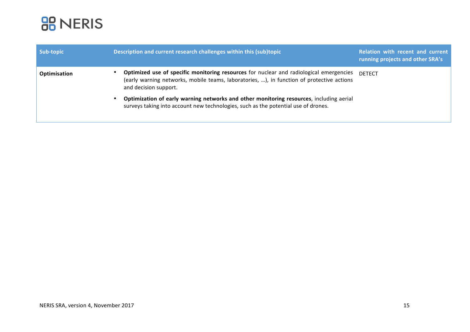

| Sub-topic    | Description and current research challenges within this (sub)topic                                                                                                                                            | Relation with recent and current<br>running projects and other SRA's |
|--------------|---------------------------------------------------------------------------------------------------------------------------------------------------------------------------------------------------------------|----------------------------------------------------------------------|
| Optimisation | Optimized use of specific monitoring resources for nuclear and radiological emergencies<br>(early warning networks, mobile teams, laboratories, ), in function of protective actions<br>and decision support. | <b>DETECT</b>                                                        |
|              | Optimization of early warning networks and other monitoring resources, including aerial<br>surveys taking into account new technologies, such as the potential use of drones.                                 |                                                                      |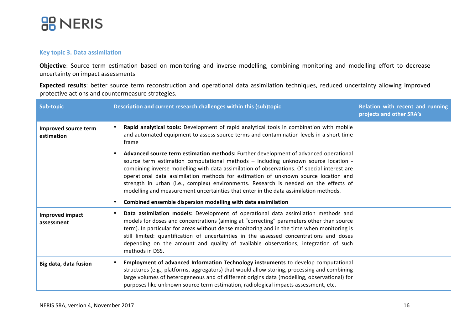

### **Key topic 3. Data assimilation**

Objective: Source term estimation based on monitoring and inverse modelling, combining monitoring and modelling effort to decrease uncertainty on impact assessments

Expected results: better source term reconstruction and operational data assimilation techniques, reduced uncertainty allowing improved protective actions and countermeasure strategies.

| Sub-topic                            | Description and current research challenges within this (sub)topic                                                                                                                                                                                                                                                                                                                                                                                                                                                                                                                                                | Relation with recent and running<br>projects and other SRA's |
|--------------------------------------|-------------------------------------------------------------------------------------------------------------------------------------------------------------------------------------------------------------------------------------------------------------------------------------------------------------------------------------------------------------------------------------------------------------------------------------------------------------------------------------------------------------------------------------------------------------------------------------------------------------------|--------------------------------------------------------------|
| Improved source term<br>estimation   | Rapid analytical tools: Development of rapid analytical tools in combination with mobile<br>and automated equipment to assess source terms and contamination levels in a short time<br>frame                                                                                                                                                                                                                                                                                                                                                                                                                      |                                                              |
|                                      | Advanced source term estimation methods: Further development of advanced operational<br>source term estimation computational methods - including unknown source location -<br>combining inverse modelling with data assimilation of observations. Of special interest are<br>operational data assimilation methods for estimation of unknown source location and<br>strength in urban (i.e., complex) environments. Research is needed on the effects of<br>modelling and measurement uncertainties that enter in the data assimilation methods.<br>Combined ensemble dispersion modelling with data assimilation |                                                              |
| <b>Improved impact</b><br>assessment | Data assimilation models: Development of operational data assimilation methods and<br>models for doses and concentrations (aiming at "correcting" parameters other than source<br>term). In particular for areas without dense monitoring and in the time when monitoring is<br>still limited: quantification of uncertainties in the assessed concentrations and doses<br>depending on the amount and quality of available observations; integration of such<br>methods in DSS.                                                                                                                                  |                                                              |
| Big data, data fusion                | Employment of advanced Information Technology instruments to develop computational<br>structures (e.g., platforms, aggregators) that would allow storing, processing and combining<br>large volumes of heterogeneous and of different origins data (modelling, observational) for<br>purposes like unknown source term estimation, radiological impacts assessment, etc.                                                                                                                                                                                                                                          |                                                              |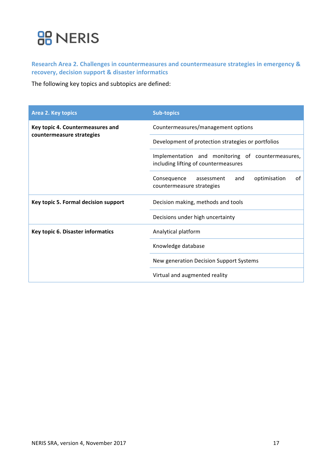Research Area 2. Challenges in countermeasures and countermeasure strategies in emergency & **recovery, decision support & disaster informatics** 

The following key topics and subtopics are defined:

| <b>Area 2. Key topics</b>            | <b>Sub-topics</b>                                                                         |  |  |
|--------------------------------------|-------------------------------------------------------------------------------------------|--|--|
| Key topic 4. Countermeasures and     | Countermeasures/management options                                                        |  |  |
| countermeasure strategies            | Development of protection strategies or portfolios                                        |  |  |
|                                      | Implementation and monitoring of countermeasures,<br>including lifting of countermeasures |  |  |
|                                      | of<br>optimisation<br>and<br>Consequence assessment<br>countermeasure strategies          |  |  |
| Key topic 5. Formal decision support | Decision making, methods and tools                                                        |  |  |
|                                      | Decisions under high uncertainty                                                          |  |  |
| Key topic 6. Disaster informatics    | Analytical platform                                                                       |  |  |
|                                      | Knowledge database                                                                        |  |  |
|                                      | New generation Decision Support Systems                                                   |  |  |
|                                      | Virtual and augmented reality                                                             |  |  |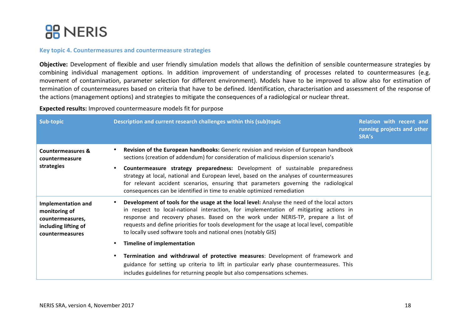

### **Key topic 4. Countermeasures and countermeasure strategies**

**Objective:** Development of flexible and user friendly simulation models that allows the definition of sensible countermeasure strategies by combining individual management options. In addition improvement of understanding of processes related to countermeasures (e.g. movement of contamination, parameter selection for different environment). Models have to be improved to allow also for estimation of termination of countermeasures based on criteria that have to be defined. Identification, characterisation and assessment of the response of the actions (management options) and strategies to mitigate the consequences of a radiological or nuclear threat.

**Expected results:** Improved countermeasure models fit for purpose

| Sub-topic                                                                                                 | Description and current research challenges within this (sub)topic                                                                                                                                                                                                                                                                                                                                                                           | Relation with recent and<br>running projects and other<br>SRA's |
|-----------------------------------------------------------------------------------------------------------|----------------------------------------------------------------------------------------------------------------------------------------------------------------------------------------------------------------------------------------------------------------------------------------------------------------------------------------------------------------------------------------------------------------------------------------------|-----------------------------------------------------------------|
| <b>Countermeasures &amp;</b><br>countermeasure                                                            | Revision of the European handbooks: Generic revision and revision of European handbook<br>sections (creation of addendum) for consideration of malicious dispersion scenario's                                                                                                                                                                                                                                                               |                                                                 |
| strategies                                                                                                | Countermeasure strategy preparedness: Development of sustainable preparedness<br>strategy at local, national and European level, based on the analyses of countermeasures<br>for relevant accident scenarios, ensuring that parameters governing the radiological<br>consequences can be identified in time to enable optimized remediation                                                                                                  |                                                                 |
| <b>Implementation and</b><br>monitoring of<br>countermeasures,<br>including lifting of<br>countermeasures | Development of tools for the usage at the local level: Analyse the need of the local actors<br>in respect to local-national interaction, for implementation of mitigating actions in<br>response and recovery phases. Based on the work under NERIS-TP, prepare a list of<br>requests and define priorities for tools development for the usage at local level, compatible<br>to locally used software tools and national ones (notably GIS) |                                                                 |
|                                                                                                           | <b>Timeline of implementation</b>                                                                                                                                                                                                                                                                                                                                                                                                            |                                                                 |
|                                                                                                           | Termination and withdrawal of protective measures: Development of framework and<br>guidance for setting up criteria to lift in particular early phase countermeasures. This<br>includes guidelines for returning people but also compensations schemes.                                                                                                                                                                                      |                                                                 |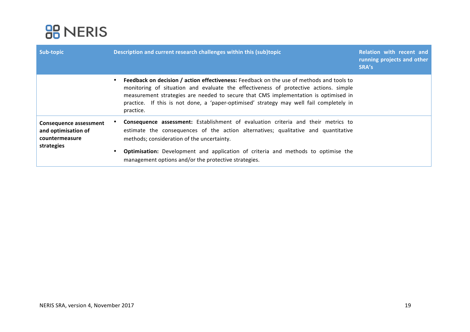

| Sub-topic                                                                     | Description and current research challenges within this (sub)topic                                                                                                                                                                                                                                                                                                              | Relation with recent and<br>running projects and other<br>SRA's |
|-------------------------------------------------------------------------------|---------------------------------------------------------------------------------------------------------------------------------------------------------------------------------------------------------------------------------------------------------------------------------------------------------------------------------------------------------------------------------|-----------------------------------------------------------------|
|                                                                               | Feedback on decision / action effectiveness: Feedback on the use of methods and tools to<br>monitoring of situation and evaluate the effectiveness of protective actions. simple<br>measurement strategies are needed to secure that CMS implementation is optimised in<br>practice. If this is not done, a 'paper-optimised' strategy may well fail completely in<br>practice. |                                                                 |
| Consequence assessment<br>and optimisation of<br>countermeasure<br>strategies | Consequence assessment: Establishment of evaluation criteria and their metrics to<br>estimate the consequences of the action alternatives; qualitative and quantitative<br>methods; consideration of the uncertainty.<br><b>Optimisation:</b> Development and application of criteria and methods to optimise the<br>management options and/or the protective strategies.       |                                                                 |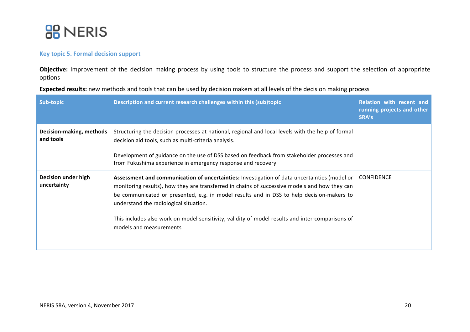

### **Key topic 5. Formal decision support**

Objective: Improvement of the decision making process by using tools to structure the process and support the selection of appropriate options 

**Expected results:** new methods and tools that can be used by decision makers at all levels of the decision making process

| Sub-topic                             | Description and current research challenges within this (sub)topic                                                                                                                                                                                                                                                                                                                                                                                                             | <b>Relation with recent and</b><br>running projects and other<br>SRA's |
|---------------------------------------|--------------------------------------------------------------------------------------------------------------------------------------------------------------------------------------------------------------------------------------------------------------------------------------------------------------------------------------------------------------------------------------------------------------------------------------------------------------------------------|------------------------------------------------------------------------|
| Decision-making, methods<br>and tools | Structuring the decision processes at national, regional and local levels with the help of formal<br>decision aid tools, such as multi-criteria analysis.<br>Development of guidance on the use of DSS based on feedback from stakeholder processes and<br>from Fukushima experience in emergency response and recovery                                                                                                                                                        |                                                                        |
| Decision under high<br>uncertainty    | Assessment and communication of uncertainties: Investigation of data uncertainties (model or CONFIDENCE<br>monitoring results), how they are transferred in chains of successive models and how they can<br>be communicated or presented, e.g. in model results and in DSS to help decision-makers to<br>understand the radiological situation.<br>This includes also work on model sensitivity, validity of model results and inter-comparisons of<br>models and measurements |                                                                        |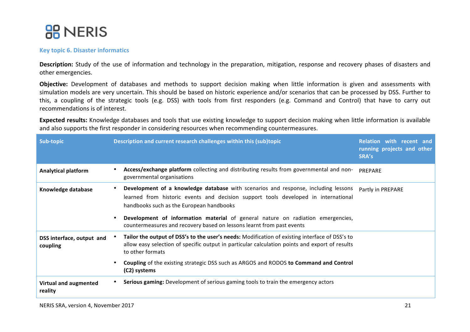

#### **Key topic 6. Disaster informatics**

**Description:** Study of the use of information and technology in the preparation, mitigation, response and recovery phases of disasters and other emergencies.

**Objective:** Development of databases and methods to support decision making when little information is given and assessments with simulation models are very uncertain. This should be based on historic experience and/or scenarios that can be processed by DSS. Further to this, a coupling of the strategic tools (e.g. DSS) with tools from first responders (e.g. Command and Control) that have to carry out recommendations is of interest.

**Expected results:** Knowledge databases and tools that use existing knowledge to support decision making when little information is available and also supports the first responder in considering resources when recommending countermeasures.

| Sub-topic                               | Description and current research challenges within this (sub)topic                                                                                                                                                   | Relation with recent and<br>running projects and other<br>SRA's |
|-----------------------------------------|----------------------------------------------------------------------------------------------------------------------------------------------------------------------------------------------------------------------|-----------------------------------------------------------------|
| <b>Analytical platform</b>              | Access/exchange platform collecting and distributing results from governmental and non-<br>governmental organisations                                                                                                | PREPARE                                                         |
| Knowledge database                      | Development of a knowledge database with scenarios and response, including lessons<br>learned from historic events and decision support tools developed in international<br>handbooks such as the European handbooks | Partly in PREPARE                                               |
|                                         | Development of information material of general nature on radiation emergencies,<br>countermeasures and recovery based on lessons learnt from past events                                                             |                                                                 |
| DSS interface, output and<br>coupling   | Tailor the output of DSS's to the user's needs: Modification of existing interface of DSS's to<br>allow easy selection of specific output in particular calculation points and export of results<br>to other formats |                                                                 |
|                                         | Coupling of the existing strategic DSS such as ARGOS and RODOS to Command and Control<br>(C2) systems                                                                                                                |                                                                 |
| <b>Virtual and augmented</b><br>reality | Serious gaming: Development of serious gaming tools to train the emergency actors                                                                                                                                    |                                                                 |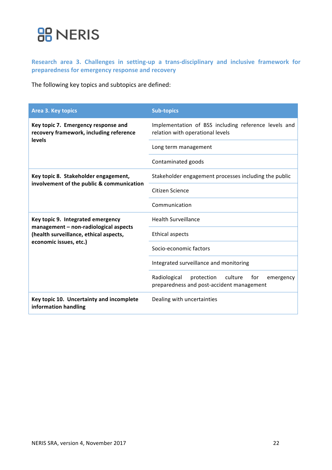## **BB** NERIS

Research area 3. Challenges in setting-up a trans-disciplinary and inclusive framework for preparedness for emergency response and recovery

The following key topics and subtopics are defined:

| Area 3. Key topics                                                                       | <b>Sub-topics</b>                                                                                      |
|------------------------------------------------------------------------------------------|--------------------------------------------------------------------------------------------------------|
| Key topic 7. Emergency response and<br>recovery framework, including reference<br>levels | Implementation of BSS including reference levels and<br>relation with operational levels               |
|                                                                                          | Long term management                                                                                   |
|                                                                                          | Contaminated goods                                                                                     |
| Key topic 8. Stakeholder engagement,                                                     | Stakeholder engagement processes including the public                                                  |
| involvement of the public & communication                                                | Citizen Science                                                                                        |
|                                                                                          | Communication                                                                                          |
| Key topic 9. Integrated emergency                                                        | <b>Health Surveillance</b>                                                                             |
| management - non-radiological aspects<br>(health surveillance, ethical aspects,          | <b>Ethical aspects</b>                                                                                 |
| economic issues, etc.)                                                                   | Socio-economic factors                                                                                 |
|                                                                                          | Integrated surveillance and monitoring                                                                 |
|                                                                                          | culture<br>Radiological<br>protection<br>for<br>emergency<br>preparedness and post-accident management |
| Key topic 10. Uncertainty and incomplete<br>information handling                         | Dealing with uncertainties                                                                             |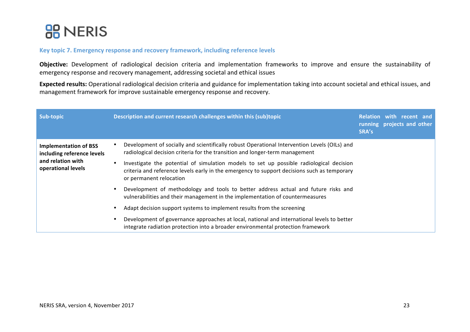

### Key topic 7. Emergency response and recovery framework, including reference levels

**Objective:** Development of radiological decision criteria and implementation frameworks to improve and ensure the sustainability of emergency response and recovery management, addressing societal and ethical issues

**Expected results:** Operational radiological decision criteria and guidance for implementation taking into account societal and ethical issues, and management framework for improve sustainable emergency response and recovery.

| Sub-topic                                                                                             | Description and current research challenges within this (sub)topic                                                                                                                                                | Relation with recent and<br>running projects and other<br>SRA's |
|-------------------------------------------------------------------------------------------------------|-------------------------------------------------------------------------------------------------------------------------------------------------------------------------------------------------------------------|-----------------------------------------------------------------|
| <b>Implementation of BSS</b><br>including reference levels<br>and relation with<br>operational levels | Development of socially and scientifically robust Operational Intervention Levels (OILs) and<br>radiological decision criteria for the transition and longer-term management                                      |                                                                 |
|                                                                                                       | Investigate the potential of simulation models to set up possible radiological decision<br>criteria and reference levels early in the emergency to support decisions such as temporary<br>or permanent relocation |                                                                 |
|                                                                                                       | Development of methodology and tools to better address actual and future risks and<br>vulnerabilities and their management in the implementation of countermeasures                                               |                                                                 |
|                                                                                                       | Adapt decision support systems to implement results from the screening                                                                                                                                            |                                                                 |
|                                                                                                       | Development of governance approaches at local, national and international levels to better<br>integrate radiation protection into a broader environmental protection framework                                    |                                                                 |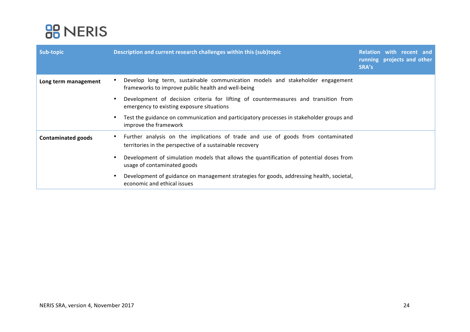

| Sub-topic                 | Description and current research challenges within this (sub)topic                                                                           | Relation with recent and<br>running projects and other<br>SRA's |
|---------------------------|----------------------------------------------------------------------------------------------------------------------------------------------|-----------------------------------------------------------------|
| Long term management      | Develop long term, sustainable communication models and stakeholder engagement<br>frameworks to improve public health and well-being         |                                                                 |
|                           | Development of decision criteria for lifting of countermeasures and transition from<br>emergency to existing exposure situations             |                                                                 |
|                           | Test the guidance on communication and participatory processes in stakeholder groups and<br>improve the framework                            |                                                                 |
| <b>Contaminated goods</b> | Further analysis on the implications of trade and use of goods from contaminated<br>territories in the perspective of a sustainable recovery |                                                                 |
|                           | Development of simulation models that allows the quantification of potential doses from<br>usage of contaminated goods                       |                                                                 |
|                           | Development of guidance on management strategies for goods, addressing health, societal,<br>economic and ethical issues                      |                                                                 |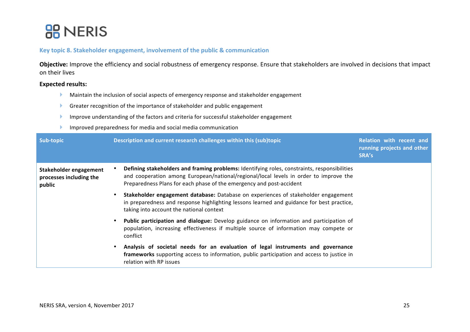### **BB** NERIS

### Key topic 8. Stakeholder engagement, involvement of the public & communication

Objective: Improve the efficiency and social robustness of emergency response. Ensure that stakeholders are involved in decisions that impact on their lives

#### **Expected results:**

- $\blacktriangleright$  Maintain the inclusion of social aspects of emergency response and stakeholder engagement
- **•** Greater recognition of the importance of stakeholder and public engagement
- $\blacktriangleright$  Improve understanding of the factors and criteria for successful stakeholder engagement
- $\blacktriangleright$  Improved preparedness for media and social media communication

| Sub-topic                                                   | Description and current research challenges within this (sub)topic                                                                                                                                                                                            | Relation with recent and<br>running projects and other<br>SRA's |
|-------------------------------------------------------------|---------------------------------------------------------------------------------------------------------------------------------------------------------------------------------------------------------------------------------------------------------------|-----------------------------------------------------------------|
| Stakeholder engagement<br>processes including the<br>public | Defining stakeholders and framing problems: Identifying roles, constraints, responsibilities<br>and cooperation among European/national/regional/local levels in order to improve the<br>Preparedness Plans for each phase of the emergency and post-accident |                                                                 |
|                                                             | Stakeholder engagement database: Database on experiences of stakeholder engagement<br>in preparedness and response highlighting lessons learned and guidance for best practice,<br>taking into account the national context                                   |                                                                 |
|                                                             | Public participation and dialogue: Develop guidance on information and participation of<br>population, increasing effectiveness if multiple source of information may compete or<br>conflict                                                                  |                                                                 |
|                                                             | Analysis of societal needs for an evaluation of legal instruments and governance<br>frameworks supporting access to information, public participation and access to justice in<br>relation with RP issues                                                     |                                                                 |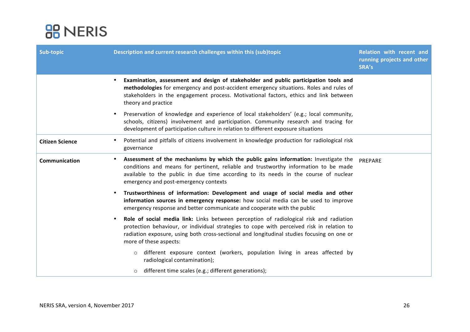

| Sub-topic              | Description and current research challenges within this (sub)topic                                                                                                                                                                                                                                                 | <b>Relation with recent and</b><br>running projects and other<br>SRA's |
|------------------------|--------------------------------------------------------------------------------------------------------------------------------------------------------------------------------------------------------------------------------------------------------------------------------------------------------------------|------------------------------------------------------------------------|
|                        | Examination, assessment and design of stakeholder and public participation tools and<br>$\bullet$<br>methodologies for emergency and post-accident emergency situations. Roles and rules of<br>stakeholders in the engagement process. Motivational factors, ethics and link between<br>theory and practice        |                                                                        |
|                        | Preservation of knowledge and experience of local stakeholders' (e.g.; local community,<br>schools, citizens) involvement and participation. Community research and tracing for<br>development of participation culture in relation to different exposure situations                                               |                                                                        |
| <b>Citizen Science</b> | Potential and pitfalls of citizens involvement in knowledge production for radiological risk<br>governance                                                                                                                                                                                                         |                                                                        |
| Communication          | Assessment of the mechanisms by which the public gains information: Investigate the PREPARE<br>conditions and means for pertinent, reliable and trustworthy information to be made<br>available to the public in due time according to its needs in the course of nuclear<br>emergency and post-emergency contexts |                                                                        |
|                        | Trustworthiness of information: Development and usage of social media and other<br>information sources in emergency response: how social media can be used to improve<br>emergency response and better communicate and cooperate with the public                                                                   |                                                                        |
|                        | Role of social media link: Links between perception of radiological risk and radiation<br>protection behaviour, or individual strategies to cope with perceived risk in relation to<br>radiation exposure, using both cross-sectional and longitudinal studies focusing on one or<br>more of these aspects:        |                                                                        |
|                        | different exposure context (workers, population living in areas affected by<br>$\circ$<br>radiological contamination);                                                                                                                                                                                             |                                                                        |
|                        | different time scales (e.g.; different generations);<br>$\circ$                                                                                                                                                                                                                                                    |                                                                        |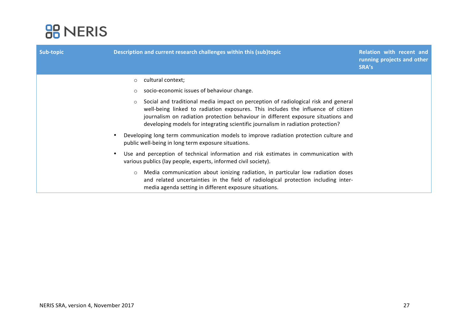

| Sub-topic | Description and current research challenges within this (sub)topic                                                                                                                                                                                                                                                                                         | <b>Relation with recent and</b><br>running projects and other<br>SRA's |
|-----------|------------------------------------------------------------------------------------------------------------------------------------------------------------------------------------------------------------------------------------------------------------------------------------------------------------------------------------------------------------|------------------------------------------------------------------------|
|           | cultural context;<br>$\circ$                                                                                                                                                                                                                                                                                                                               |                                                                        |
|           | socio-economic issues of behaviour change.<br>$\circ$                                                                                                                                                                                                                                                                                                      |                                                                        |
|           | Social and traditional media impact on perception of radiological risk and general<br>$\circ$<br>well-being linked to radiation exposures. This includes the influence of citizen<br>journalism on radiation protection behaviour in different exposure situations and<br>developing models for integrating scientific journalism in radiation protection? |                                                                        |
|           | Developing long term communication models to improve radiation protection culture and<br>public well-being in long term exposure situations.                                                                                                                                                                                                               |                                                                        |
|           | Use and perception of technical information and risk estimates in communication with<br>various publics (lay people, experts, informed civil society).                                                                                                                                                                                                     |                                                                        |
|           | Media communication about ionizing radiation, in particular low radiation doses<br>$\circ$<br>and related uncertainties in the field of radiological protection including inter-<br>media agenda setting in different exposure situations.                                                                                                                 |                                                                        |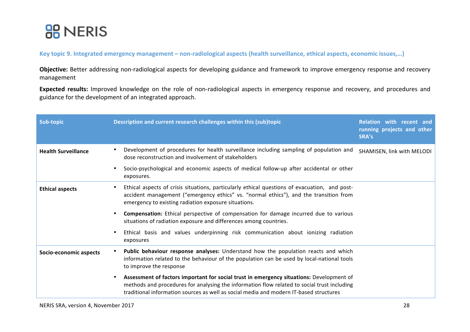

Key topic 9. Integrated emergency management – non-radiological aspects (health surveillance, ethical aspects, economic issues,...)

Objective: Better addressing non-radiological aspects for developing guidance and framework to improve emergency response and recovery management

**Expected results:** Improved knowledge on the role of non-radiological aspects in emergency response and recovery, and procedures and guidance for the development of an integrated approach.

| Sub-topic                  | Description and current research challenges within this (sub)topic                                                                                                                                                                                                                | Relation with recent and<br>running projects and other<br>SRA's |
|----------------------------|-----------------------------------------------------------------------------------------------------------------------------------------------------------------------------------------------------------------------------------------------------------------------------------|-----------------------------------------------------------------|
| <b>Health Surveillance</b> | Development of procedures for health surveillance including sampling of population and<br>dose reconstruction and involvement of stakeholders                                                                                                                                     | SHAMISEN, link with MELODI                                      |
|                            | Socio-psychological and economic aspects of medical follow-up after accidental or other<br>٠<br>exposures.                                                                                                                                                                        |                                                                 |
| <b>Ethical aspects</b>     | Ethical aspects of crisis situations, particularly ethical questions of evacuation, and post-<br>accident management ("emergency ethics" vs. "normal ethics"), and the transition from<br>emergency to existing radiation exposure situations.                                    |                                                                 |
|                            | <b>Compensation:</b> Ethical perspective of compensation for damage incurred due to various<br>situations of radiation exposure and differences among countries.                                                                                                                  |                                                                 |
|                            | Ethical basis and values underpinning risk communication about ionizing radiation<br>exposures                                                                                                                                                                                    |                                                                 |
| Socio-economic aspects     | Public behaviour response analyses: Understand how the population reacts and which<br>information related to the behaviour of the population can be used by local-national tools<br>to improve the response                                                                       |                                                                 |
|                            | Assessment of factors important for social trust in emergency situations: Development of<br>methods and procedures for analysing the information flow related to social trust including<br>traditional information sources as well as social media and modern IT-based structures |                                                                 |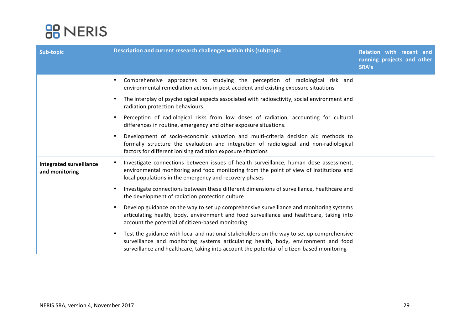

| Sub-topic                                        | Description and current research challenges within this (sub)topic                                                                                                                                                                                                                          | Relation with recent and<br>running projects and other<br>SRA's |
|--------------------------------------------------|---------------------------------------------------------------------------------------------------------------------------------------------------------------------------------------------------------------------------------------------------------------------------------------------|-----------------------------------------------------------------|
|                                                  | Comprehensive approaches to studying the perception of radiological risk and<br>environmental remediation actions in post-accident and existing exposure situations                                                                                                                         |                                                                 |
|                                                  | The interplay of psychological aspects associated with radioactivity, social environment and<br>$\bullet$<br>radiation protection behaviours.                                                                                                                                               |                                                                 |
|                                                  | Perception of radiological risks from low doses of radiation, accounting for cultural<br>differences in routine, emergency and other exposure situations.                                                                                                                                   |                                                                 |
|                                                  | Development of socio-economic valuation and multi-criteria decision aid methods to<br>formally structure the evaluation and integration of radiological and non-radiological<br>factors for different ionising radiation exposure situations                                                |                                                                 |
| <b>Integrated surveillance</b><br>and monitoring | Investigate connections between issues of health surveillance, human dose assessment,<br>environmental monitoring and food monitoring from the point of view of institutions and<br>local populations in the emergency and recovery phases                                                  |                                                                 |
|                                                  | Investigate connections between these different dimensions of surveillance, healthcare and<br>$\bullet$<br>the development of radiation protection culture                                                                                                                                  |                                                                 |
|                                                  | Develop guidance on the way to set up comprehensive surveillance and monitoring systems<br>$\bullet$<br>articulating health, body, environment and food surveillance and healthcare, taking into<br>account the potential of citizen-based monitoring                                       |                                                                 |
|                                                  | Test the guidance with local and national stakeholders on the way to set up comprehensive<br>$\bullet$<br>surveillance and monitoring systems articulating health, body, environment and food<br>surveillance and healthcare, taking into account the potential of citizen-based monitoring |                                                                 |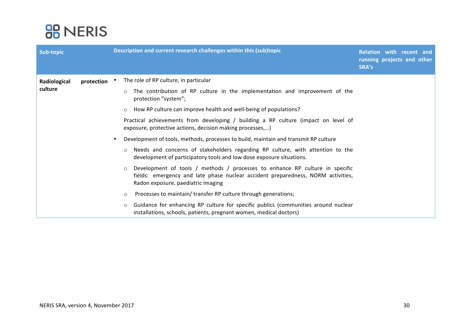

| Sub-topic               |            | Description and current research challenges within this (sub)topic                                                                                                                                                | Relation with recent and<br>running projects and other<br>SRA's |
|-------------------------|------------|-------------------------------------------------------------------------------------------------------------------------------------------------------------------------------------------------------------------|-----------------------------------------------------------------|
| Radiological<br>culture | protection | The role of RP culture, in particular                                                                                                                                                                             |                                                                 |
|                         |            | The contribution of RP culture in the implementation and improvement of the<br>$\circ$<br>protection "system";                                                                                                    |                                                                 |
|                         |            | How RP culture can improve health and well-being of populations?<br>$\circ$                                                                                                                                       |                                                                 |
|                         |            | Practical achievements from developing / building a RP culture (impact on level of<br>exposure, protective actions, decision making processes,)                                                                   |                                                                 |
|                         |            | Development of tools, methods, processes to build, maintain and transmit RP culture                                                                                                                               |                                                                 |
|                         |            | Needs and concerns of stakeholders regarding RP culture, with attention to the<br>$\circ$<br>development of participatory tools and low dose exposure situations.                                                 |                                                                 |
|                         |            | Development of tools / methods / processes to enhance RP culture in specific<br>$\circ$<br>fields: emergency and late phase nuclear accident preparedness, NORM activities,<br>Radon exposure, paediatric imaging |                                                                 |
|                         |            | Processes to maintain/ transfer RP culture through generations;<br>$\circ$                                                                                                                                        |                                                                 |
|                         |            | Guidance for enhancing RP culture for specific publics (communities around nuclear<br>$\circ$<br>installations, schools, patients, pregnant women, medical doctors)                                               |                                                                 |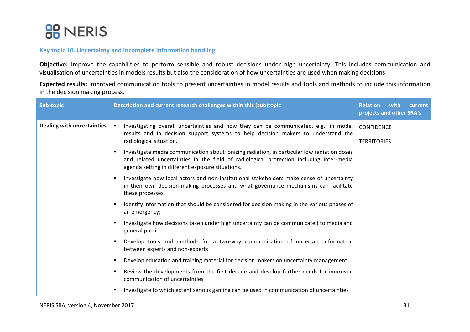

### **Key topic 10. Uncertainty and incomplete information handling**

Objective: Improve the capabilities to perform sensible and robust decisions under high uncertainty. This includes communication and visualisation of uncertainties in models results but also the consideration of how uncertainties are used when making decisions

Expected results: Improved communication tools to present uncertainties in model results and tools and methods to include this information in the decision making process.

| projects and other SRA's                                                                                                                                                                                                                                |  |
|---------------------------------------------------------------------------------------------------------------------------------------------------------------------------------------------------------------------------------------------------------|--|
| Dealing with uncertainties<br>Investigating overall uncertainties and how they can be communicated, e.g.; in model<br>$\bullet$<br><b>CONFIDENCE</b><br>results and in decision support systems to help decision makers to understand the               |  |
| radiological situation.<br><b>TERRITORIES</b>                                                                                                                                                                                                           |  |
| Investigate media communication about ionizing radiation, in particular low radiation doses<br>$\bullet$<br>and related uncertainties in the field of radiological protection including inter-media<br>agenda setting in different exposure situations. |  |
| Investigate how local actors and non-institutional stakeholders make sense of uncertainty<br>$\bullet$<br>in their own decision-making processes and what governance mechanisms can facilitate<br>these processes.                                      |  |
| Identify information that should be considered for decision making in the various phases of<br>$\bullet$<br>an emergency;                                                                                                                               |  |
| Investigate how decisions taken under high uncertainty can be communicated to media and<br>$\bullet$<br>general public                                                                                                                                  |  |
| Develop tools and methods for a two-way communication of uncertain information<br>$\bullet$<br>between experts and non-experts                                                                                                                          |  |
| Develop education and training material for decision makers on uncertainty management<br>$\bullet$                                                                                                                                                      |  |
| Review the developments from the first decade and develop further needs for improved<br>$\bullet$<br>communication of uncertainties                                                                                                                     |  |
| Investigate to which extent serious gaming can be used in communication of uncertainties<br>$\bullet$                                                                                                                                                   |  |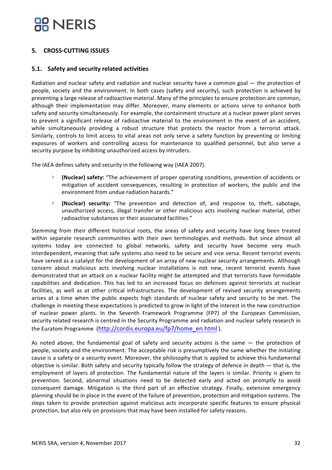### **5. CROSS-CUTTING ISSUES**

### **5.1. Safety and security related activities**

Radiation and nuclear safety and radiation and nuclear security have a common goal — the protection of people, society and the environment. In both cases (safety and security), such protection is achieved by preventing a large release of radioactive material. Many of the principles to ensure protection are common, although their implementation may differ. Moreover, many elements or actions serve to enhance both safety and security simultaneously. For example, the containment structure at a nuclear power plant serves to prevent a significant release of radioactive material to the environment in the event of an accident, while simultaneously providing a robust structure that protects the reactor from a terrorist attack. Similarly, controls to limit access to vital areas not only serve a safety function by preventing or limiting exposures of workers and controlling access for maintenance to qualified personnel, but also serve a security purpose by inhibiting unauthorized access by intruders.

The IAEA defines safety and security in the following way (IAEA 2007).

- **(Nuclear) safety:** "The achievement of proper operating conditions, prevention of accidents or mitigation of accident consequences, resulting in protection of workers, the public and the environment from undue radiation hazards."
- **(Nuclear) security:** "The prevention and detection of, and response to, theft, sabotage, unauthorized access, illegal transfer or other malicious acts involving nuclear material, other radioactive substances or their associated facilities."

Stemming from their different historical roots, the areas of safety and security have long been treated within separate research communities with their own terminologies and methods. But since almost all systems today are connected to global networks, safety and security have become very much interdependent, meaning that safe systems also need to be secure and vice versa. Recent terrorist events have served as a catalyst for the development of an array of new nuclear security arrangements. Although concern about malicious acts involving nuclear installations is not new, recent terrorist events have demonstrated that an attack on a nuclear facility might be attempted and that terrorists have formidable capabilities and dedication. This has led to an increased focus on defences against terrorists at nuclear facilities, as well as at other critical infrastructures. The development of revised security arrangements arises at a time when the public expects high standards of nuclear safety and security to be met. The challenge in meeting these expectations is predicted to grow in light of the interest in the new construction of nuclear power plants. In the Seventh Framework Programme (FP7) of the European Commission, security related research is centred in the Security Programme and radiation and nuclear safety research in the Euratom Programme (http://cordis.europa.eu/fp7/home\_en.html).

As noted above, the fundamental goal of safety and security actions is the same  $-$  the protection of people, society and the environment. The acceptable risk is presumptively the same whether the initiating cause is a safety or a security event. Moreover, the philosophy that is applied to achieve this fundamental objective is similar. Both safety and security typically follow the strategy of defence in depth — that is, the employment of layers of protection. The fundamental nature of the layers is similar. Priority is given to prevention. Second, abnormal situations need to be detected early and acted on promptly to avoid consequent damage. Mitigation is the third part of an effective strategy. Finally, extensive emergency planning should be in place in the event of the failure of prevention, protection and mitigation systems. The steps taken to provide protection against malicious acts incorporate specific features to ensure physical protection, but also rely on provisions that may have been installed for safety reasons.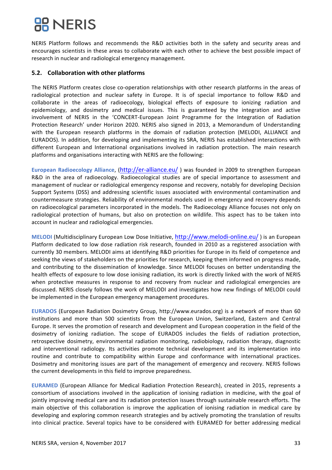NERIS Platform follows and recommends the R&D activities both in the safety and security areas and encourages scientists in these areas to collaborate with each other to achieve the best possible impact of research in nuclear and radiological emergency management.

### **5.2. Collaboration with other platforms**

The NERIS Platform creates close co-operation relationships with other research platforms in the areas of radiological protection and nuclear safety in Europe. It is of special importance to follow R&D and collaborate in the areas of radioecology, biological effects of exposure to ionizing radiation and epidemiology, and dosimetry and medical issues. This is guaranteed by the integration and active involvement of NERIS in the 'CONCERT-European Joint Programme for the Integration of Radiation Protection Research' under Horizon 2020. NERIS also signed in 2013, a Memorandum of Understanding with the European research platforms in the domain of radiation protection (MELODI, ALLIANCE and EURADOS). In addition, for developing and implementing its SRA, NERIS has established interactions with different European and International organisations involved in radiation protection. The main research platforms and organisations interacting with NERIS are the following:

**European Radioecology Alliance, (http://er-alliance.eu/)** was founded in 2009 to strengthen European R&D in the area of radioecology. Radioecological studies are of special importance to assessment and management of nuclear or radiological emergency response and recovery, notably for developing Decision Support Systems (DSS) and addressing scientific issues associated with environmental contamination and countermeasure strategies. Reliability of environmental models used in emergency and recovery depends on radioecological parameters incorporated in the models. The Radioecology Alliance focuses not only on radiological protection of humans, but also on protection on wildlife. This aspect has to be taken into account in nuclear and radiological emergencies.

**MELODI** (Multidisciplinary European Low Dose Initiative, http://www.melodi-online.eu/) is an European Platform dedicated to low dose radiation risk research, founded in 2010 as a registered association with currently 30 members. MELODI aims at identifying R&D priorities for Europe in its field of competence and seeking the views of stakeholders on the priorities for research, keeping them informed on progress made, and contributing to the dissemination of knowledge. Since MELODI focuses on better understanding the health effects of exposure to low dose ionising radiation, its work is directly linked with the work of NERIS when protective measures in response to and recovery from nuclear and radiological emergencies are discussed. NERIS closely follows the work of MELODI and investigates how new findings of MELODI could be implemented in the European emergency management procedures.

**EURADOS** (European Radiation Dosimetry Group, http://www.eurados.org) is a network of more than 60 institutions and more than 500 scientists from the European Union, Switzerland, Eastern and Central Europe. It serves the promotion of research and development and European cooperation in the field of the dosimetry of ionizing radiation. The scope of EURADOS includes the fields of radiation protection, retrospective dosimetry, environmental radiation monitoring, radiobiology, radiation therapy, diagnostic and interventional radiology. Its activities promote technical development and its implementation into routine and contribute to compatibility within Europe and conformance with international practices. Dosimetry and monitoring issues are part of the management of emergency and recovery. NERIS follows the current developments in this field to improve preparedness.

**EURAMED** (European Alliance for Medical Radiation Protection Research), created in 2015, represents a consortium of associations involved in the application of ionising radiation in medicine, with the goal of jointly improving medical care and its radiation protection issues through sustainable research efforts. The main objective of this collaboration is improve the application of ionising radiation in medical care by developing and exploring common research strategies and by actively promoting the translation of results into clinical practice. Several topics have to be considered with EURAMED for better addressing medical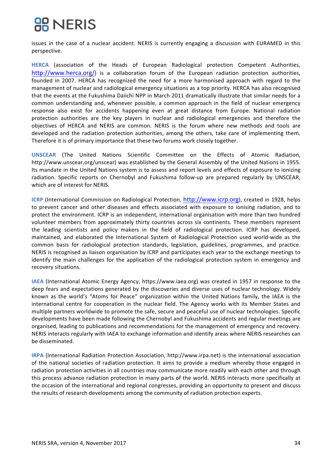issues in the case of a nuclear accident. NERIS is currently engaging a discussion with EURAMED in this perspective.

HERCA (association of the Heads of European Radiological protection Competent Authorities, http://www.herca.org/) is a collaboration forum of the European radiation protection authorities, founded in 2007. HERCA has recognized the need for a more harmonised approach with regard to the management of nuclear and radiological emergency situations as a top priority. HERCA has also recognised that the events at the Fukushima Daiichi NPP in March 2011 dramatically illustrate that similar needs for a common understanding and, whenever possible, a common approach in the field of nuclear emergency response also exist for accidents happening even at great distance from Europe. National radiation protection authorities are the key players in nuclear and radiological emergencies and therefore the objectives of HERCA and NERIS are common. NERIS is the forum where new methods and tools are developed and the radiation protection authorities, among the others, take care of implementing them. Therefore it is of primary importance that these two forums work closely together.

**UNSCEAR** (The United Nations Scientific Committee on the Effects of Atomic Radiation, http://www.unscear.org/unscear) was established by the General Assembly of the United Nations in 1955. Its mandate in the United Nations system is to assess and report levels and effects of exposure to ionizing radiation. Specific reports on Chernobyl and Fukushima follow-up are prepared regularly by UNSCEAR, which are of interest for NERIS.

**ICRP** (International Commission on Radiological Protection, http://www.icrp.org), created in 1928, helps to prevent cancer and other diseases and effects associated with exposure to ionising radiation, and to protect the environment. ICRP is an independent, international organisation with more than two hundred volunteer members from approximately thirty countries across six continents. These members represent the leading scientists and policy makers in the field of radiological protection. ICRP has developed, maintained, and elaborated the International System of Radiological Protection used world-wide as the common basis for radiological protection standards, legislation, guidelines, programmes, and practice. NERIS is recognised as liaison organisation by ICRP and participates each year to the exchange meetings to identify the main challenges for the application of the radiological protection system in emergency and recovery situations.

**IAEA** (International Atomic Energy Agency, https://www.iaea.org) was created in 1957 in response to the deep fears and expectations generated by the discoveries and diverse uses of nuclear technology. Widely known as the world's "Atoms for Peace" organization within the United Nations family, the IAEA is the international centre for cooperation in the nuclear field. The Agency works with its Member States and multiple partners worldwide to promote the safe, secure and peaceful use of nuclear technologies. Specific developments have been made following the Chernobyl and Fukushima accidents and regular meetings are organised, leading to publications and recommendations for the management of emergency and recovery. NERIS interacts regularly with IAEA to exchange information and identify areas where NERIS researches can be disseminated.

**IRPA** (International Radiation Protection Association, http://www.irpa.net) is the international association of the national societies of radiation protection. It aims to provide a medium whereby those engaged in radiation protection activities in all countries may communicate more readily with each other and through this process advance radiation protection in many parts of the world. NERIS interacts more specifically at the occasion of the international and regional congresses, providing an opportunity to present and discuss the results of research developments among the community of radiation protection experts.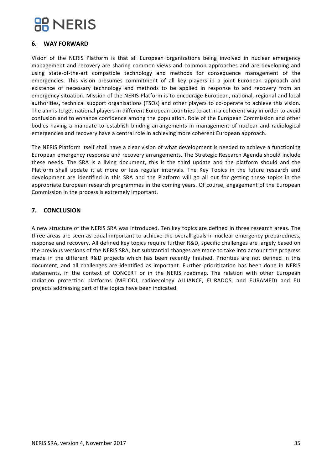### **6. WAY FORWARD**

Vision of the NERIS Platform is that all European organizations being involved in nuclear emergency management and recovery are sharing common views and common approaches and are developing and using state-of-the-art compatible technology and methods for consequence management of the emergencies. This vision presumes commitment of all key players in a joint European approach and existence of necessary technology and methods to be applied in response to and recovery from an emergency situation. Mission of the NERIS Platform is to encourage European, national, regional and local authorities, technical support organisations (TSOs) and other players to co-operate to achieve this vision. The aim is to get national players in different European countries to act in a coherent way in order to avoid confusion and to enhance confidence among the population. Role of the European Commission and other bodies having a mandate to establish binding arrangements in management of nuclear and radiological emergencies and recovery have a central role in achieving more coherent European approach.

The NERIS Platform itself shall have a clear vision of what development is needed to achieve a functioning European emergency response and recovery arrangements. The Strategic Research Agenda should include these needs. The SRA is a living document, this is the third update and the platform should and the Platform shall update it at more or less regular intervals. The Key Topics in the future research and development are identified in this SRA and the Platform will go all out for getting these topics in the appropriate European research programmes in the coming years. Of course, engagement of the European Commission in the process is extremely important.

### **7. CONCLUSION**

A new structure of the NERIS SRA was introduced. Ten key topics are defined in three research areas. The three areas are seen as equal important to achieve the overall goals in nuclear emergency preparedness, response and recovery. All defined key topics require further R&D, specific challenges are largely based on the previous versions of the NERIS SRA, but substantial changes are made to take into account the progress made in the different R&D projects which has been recently finished. Priorities are not defined in this document, and all challenges are identified as important. Further prioritization has been done in NERIS statements, in the context of CONCERT or in the NERIS roadmap. The relation with other European radiation protection platforms (MELODI, radioecology ALLIANCE, EURADOS, and EURAMED) and EU projects addressing part of the topics have been indicated.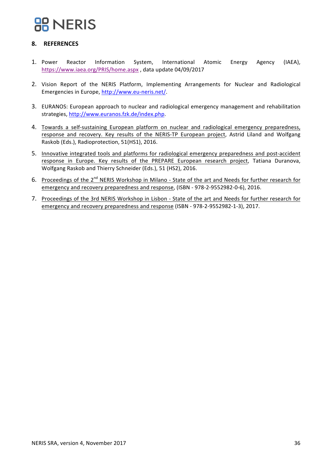### **8. REFERENCES**

- 1. Power Reactor Information System, International Atomic Energy Agency (IAEA), https://www.iaea.org/PRIS/home.aspx, data update 04/09/2017
- 2. Vision Report of the NERIS Platform, Implementing Arrangements for Nuclear and Radiological Emergencies in Europe, http://www.eu-neris.net/.
- 3. EURANOS: European approach to nuclear and radiological emergency management and rehabilitation strategies, http://www.euranos.fzk.de/index.php.
- 4. Towards a self-sustaining European platform on nuclear and radiological emergency preparedness, response and recovery. Key results of the NERIS-TP European project, Astrid Liland and Wolfgang Raskob (Eds.), Radioprotection, 51(HS1), 2016.
- 5. Innovative integrated tools and platforms for radiological emergency preparedness and post-accident response in Europe. Key results of the PREPARE European research project, Tatiana Duranova, Wolfgang Raskob and Thierry Schneider (Eds.), 51 (HS2), 2016.
- 6. Proceedings of the 2<sup>nd</sup> NERIS Workshop in Milano State of the art and Needs for further research for emergency and recovery preparedness and response, (ISBN - 978-2-9552982-0-6), 2016.
- 7. Proceedings of the 3rd NERIS Workshop in Lisbon State of the art and Needs for further research for emergency and recovery preparedness and response (ISBN - 978-2-9552982-1-3), 2017.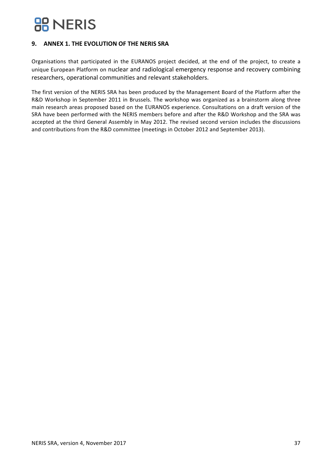## **BB** NERIS

### **9. ANNEX 1. THE EVOLUTION OF THE NERIS SRA**

Organisations that participated in the EURANOS project decided, at the end of the project, to create a unique European Platform on nuclear and radiological emergency response and recovery combining researchers, operational communities and relevant stakeholders.

The first version of the NERIS SRA has been produced by the Management Board of the Platform after the R&D Workshop in September 2011 in Brussels. The workshop was organized as a brainstorm along three main research areas proposed based on the EURANOS experience. Consultations on a draft version of the SRA have been performed with the NERIS members before and after the R&D Workshop and the SRA was accepted at the third General Assembly in May 2012. The revised second version includes the discussions and contributions from the R&D committee (meetings in October 2012 and September 2013).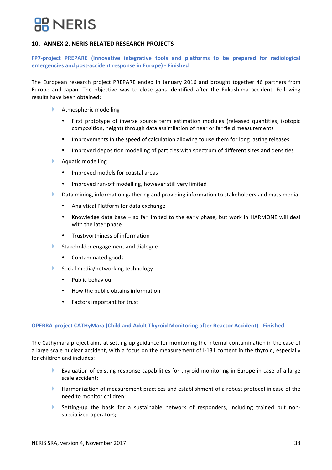## **RR NERIS**

### **10. ANNEX 2. NERIS RELATED RESEARCH PROJECTS**

FP7-project PREPARE (Innovative integrative tools and platforms to be prepared for radiological **emergencies and post-accident response in Europe) - Finished**

The European research project PREPARE ended in January 2016 and brought together 46 partners from Europe and Japan. The objective was to close gaps identified after the Fukushima accident. Following results have been obtained:

- Atmospheric modelling
	- First prototype of inverse source term estimation modules (released quantities, isotopic composition, height) through data assimilation of near or far field measurements
	- Improvements in the speed of calculation allowing to use them for long lasting releases
	- Improved deposition modelling of particles with spectrum of different sizes and densities
- **Aquatic modelling** 
	- Improved models for coastal areas
	- Improved run-off modelling, however still very limited
- $\blacktriangleright$  Data mining, information gathering and providing information to stakeholders and mass media
	- Analytical Platform for data exchange
	- Knowledge data base  $-$  so far limited to the early phase, but work in HARMONE will deal with the later phase
	- Trustworthiness of information
- $\blacktriangleright$  Stakeholder engagement and dialogue
	- Contaminated goods
- $\blacktriangleright$  Social media/networking technology
	- Public behaviour
	- How the public obtains information
	- Factors important for trust

#### **OPERRA-project CATHyMara (Child and Adult Thyroid Monitoring after Reactor Accident) - Finished**

The Cathymara project aims at setting-up guidance for monitoring the internal contamination in the case of a large scale nuclear accident, with a focus on the measurement of I-131 content in the thyroid, especially for children and includes:

- Evaluation of existing response capabilities for thyroid monitoring in Europe in case of a large scale accident;
- $\blacktriangleright$  Harmonization of measurement practices and establishment of a robust protocol in case of the need to monitor children:
- $\blacktriangleright$  Setting-up the basis for a sustainable network of responders, including trained but nonspecialized operators: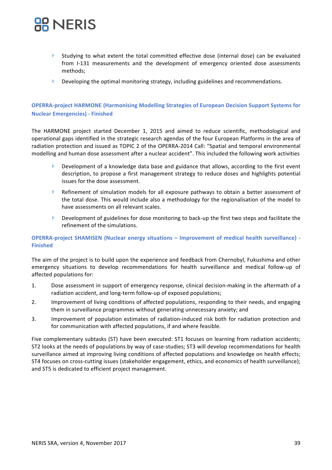- $\blacktriangleright$  Studying to what extent the total committed effective dose (internal dose) can be evaluated from I-131 measurements and the development of emergency oriented dose assessments methods;
- $\blacktriangleright$  Developing the optimal monitoring strategy, including guidelines and recommendations.

### **OPERRA-project HARMONE (Harmonising Modelling Strategies of European Decision Support Systems for Nuclear Emergencies) - Finished**

The HARMONE project started December 1, 2015 and aimed to reduce scientific, methodological and operational gaps identified in the strategic research agendas of the four European Platforms in the area of radiation protection and issued as TOPIC 2 of the OPERRA-2014 Call: "Spatial and temporal environmental modelling and human dose assessment after a nuclear accident". This included the following work activities

- Development of a knowledge data base and guidance that allows, according to the first event description, to propose a first management strategy to reduce doses and highlights potential issues for the dose assessment.
- $\blacktriangleright$  Refinement of simulation models for all exposure pathways to obtain a better assessment of the total dose. This would include also a methodology for the regionalisation of the model to have assessments on all relevant scales.
- **>** Development of guidelines for dose monitoring to back-up the first two steps and facilitate the refinement of the simulations.

### **OPERRA-project SHAMISEN (Nuclear energy situations – Improvement of medical health surveillance) -Finished**

The aim of the project is to build upon the experience and feedback from Chernobyl, Fukushima and other emergency situations to develop recommendations for health surveillance and medical follow-up of affected populations for:

- 1. Dose assessment in support of emergency response, clinical decision-making in the aftermath of a radiation accident, and long-term follow-up of exposed populations;
- 2. Improvement of living conditions of affected populations, responding to their needs, and engaging them in surveillance programmes without generating unnecessary anxiety; and
- 3. Improvement of population estimates of radiation-induced risk both for radiation protection and for communication with affected populations, if and where feasible.

Five complementary subtasks (ST) have been executed: ST1 focuses on learning from radiation accidents; ST2 looks at the needs of populations by way of case-studies; ST3 will develop recommendations for health surveillance aimed at improving living conditions of affected populations and knowledge on health effects; ST4 focuses on cross-cutting issues (stakeholder engagement, ethics, and economics of health surveillance); and ST5 is dedicated to efficient project management.